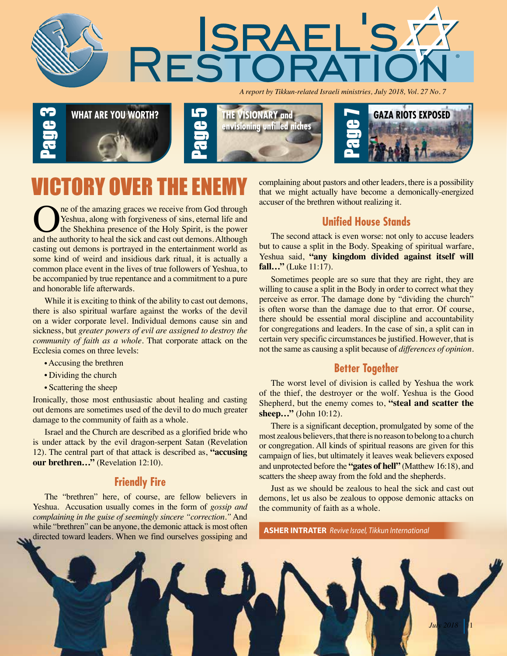

*A report by Tikkun-related Israeli ministries, July 2018, Vol. 27 No. 7*







ne of the amazing graces we receive from God through Yeshua, along with forgiveness of sins, eternal life and the Shekhina presence of the Holy Spirit, is the power and the authority to heal the sick and cast out demons. Although casting out demons is portrayed in the entertainment world as some kind of weird and insidious dark ritual, it is actually a common place event in the lives of true followers of Yeshua, to be accompanied by true repentance and a commitment to a pure and honorable life afterwards.

While it is exciting to think of the ability to cast out demons, there is also spiritual warfare against the works of the devil on a wider corporate level. Individual demons cause sin and sickness, but *greater powers of evil are assigned to destroy the community of faith as a whole.* That corporate attack on the Ecclesia comes on three levels:

- Accusing the brethren
- Dividing the church
- Scattering the sheep

Ironically, those most enthusiastic about healing and casting out demons are sometimes used of the devil to do much greater damage to the community of faith as a whole.

Israel and the Church are described as a glorified bride who is under attack by the evil dragon-serpent Satan (Revelation 12). The central part of that attack is described as, **"accusing our brethren..."** (Revelation 12:10).

#### **Friendly Fire**

The "brethren" here, of course, are fellow believers in Yeshua. Accusation usually comes in the form of *gossip and complaining in the guise of seemingly sincere "correction."* And while "brethren" can be anyone, the demonic attack is most often directed toward leaders. When we find ourselves gossiping and

complaining about pastors and other leaders, there is a possibility that we might actually have become a demonically-energized accuser of the brethren without realizing it.

#### **Unified House Stands**

The second attack is even worse: not only to accuse leaders but to cause a split in the Body. Speaking of spiritual warfare, Yeshua said, **"any kingdom divided against itself will fall…"** (Luke 11:17).

Sometimes people are so sure that they are right, they are willing to cause a split in the Body in order to correct what they perceive as error. The damage done by "dividing the church" is often worse than the damage due to that error. Of course, there should be essential moral discipline and accountability for congregations and leaders. In the case of sin, a split can in certain very specific circumstances be justified. However, that is not the same as causing a split because of *differences of opinion.*

#### **Better Together**

The worst level of division is called by Yeshua the work of the thief, the destroyer or the wolf. Yeshua is the Good Shepherd, but the enemy comes to, **"steal and scatter the sheep…"** (John 10:12).

There is a significant deception, promulgated by some of the most zealous believers, that there is no reason to belong to a church or congregation. All kinds of spiritual reasons are given for this campaign of lies, but ultimately it leaves weak believers exposed and unprotected before the **"gates of hell"** (Matthew 16:18), and scatters the sheep away from the fold and the shepherds.

Just as we should be zealous to heal the sick and cast out demons, let us also be zealous to oppose demonic attacks on the community of faith as a whole.

**ASHER INTRATER** *Revive Israel, Tikkun International*

 $J$ *ul*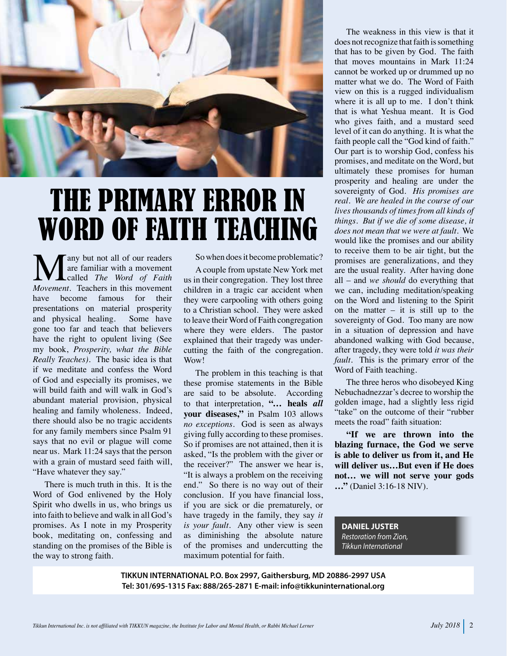

### THE PRIMARY ERROR IN WORD OF FAITH TEACHING

**M**any but not all of our readers are familiar with a movement *Movement*. Teachers in this movement are familiar with a movement called *The Word of Faith*  have become famous for their presentations on material prosperity and physical healing. Some have gone too far and teach that believers have the right to opulent living (See my book, *Prosperity, what the Bible Really Teaches).* The basic idea is that if we meditate and confess the Word of God and especially its promises, we will build faith and will walk in God's abundant material provision, physical healing and family wholeness. Indeed, there should also be no tragic accidents for any family members since Psalm 91 says that no evil or plague will come near us. Mark 11:24 says that the person with a grain of mustard seed faith will, "Have whatever they say."

There is much truth in this. It is the Word of God enlivened by the Holy Spirit who dwells in us, who brings us into faith to believe and walk in all God's promises. As I note in my Prosperity book, meditating on, confessing and standing on the promises of the Bible is the way to strong faith.

So when does it become problematic?

A couple from upstate New York met us in their congregation. They lost three children in a tragic car accident when they were carpooling with others going to a Christian school. They were asked to leave their Word of Faith congregation where they were elders. The pastor explained that their tragedy was undercutting the faith of the congregation. Wow!

The problem in this teaching is that these promise statements in the Bible are said to be absolute. According to that interpretation, **"… heals** *all* **your diseases,"** in Psalm 103 allows *no exceptions.* God is seen as always giving fully according to these promises. So if promises are not attained, then it is asked, "Is the problem with the giver or the receiver?" The answer we hear is, "It is always a problem on the receiving end." So there is no way out of their conclusion. If you have financial loss, if you are sick or die prematurely, or have tragedy in the family, they say *it is your fault.* Any other view is seen as diminishing the absolute nature of the promises and undercutting the maximum potential for faith.

The weakness in this view is that it does not recognize that faith is something that has to be given by God. The faith that moves mountains in Mark 11:24 cannot be worked up or drummed up no matter what we do. The Word of Faith view on this is a rugged individualism where it is all up to me. I don't think that is what Yeshua meant. It is God who gives faith, and a mustard seed level of it can do anything. It is what the faith people call the "God kind of faith." Our part is to worship God, confess his promises, and meditate on the Word, but ultimately these promises for human prosperity and healing are under the sovereignty of God. *His promises are real. We are healed in the course of our lives thousands of times from all kinds of things. But if we die of some disease, it does not mean that we were at fault.* We would like the promises and our ability to receive them to be air tight, but the promises are generalizations, and they are the usual reality. After having done all – and *we should* do everything that we can, including meditation/speaking on the Word and listening to the Spirit on the matter  $-$  it is still up to the sovereignty of God. Too many are now in a situation of depression and have abandoned walking with God because, after tragedy, they were told *it was their fault.* This is the primary error of the Word of Faith teaching.

The three heros who disobeyed King Nebuchadnezzar's decree to worship the golden image, had a slightly less rigid "take" on the outcome of their "rubber meets the road" faith situation:

**"If we are thrown into the blazing furnace, the God we serve is able to deliver us from it, and He will deliver us…But even if He does not… we will not serve your gods …"** (Daniel 3:16-18 NIV).

**DANIEL JUSTER** *Restoration from Zion, Tikkun International*

**TIKKUN INTERNATIONAL P.O. Box 2997, Gaithersburg, MD 20886-2997 USA Tel: 301/695-1315 Fax: 888/265-2871 E-mail: info@tikkuninternational.org**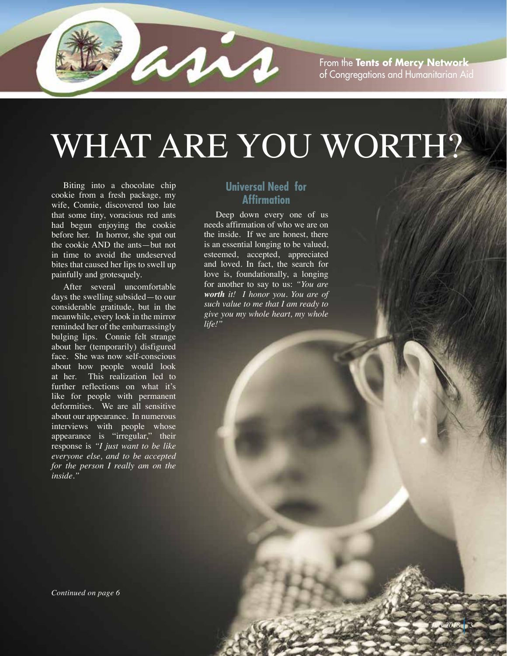

From the **Tents of Mercy Network** of Congregations and Humanitarian Aid

*July* 2018 3

# WHAT ARE YOU WORTH?

Biting into a chocolate chip cookie from a fresh package, my wife, Connie, discovered too late that some tiny, voracious red ants had begun enjoying the cookie before her. In horror, she spat out the cookie AND the ants—but not in time to avoid the undeserved bites that caused her lips to swell up painfully and grotesquely.

After several uncomfortable days the swelling subsided—to our considerable gratitude, but in the meanwhile, every look in the mirror reminded her of the embarrassingly bulging lips. Connie felt strange about her (temporarily) disfigured face. She was now self-conscious about how people would look at her. This realization led to further reflections on what it's like for people with permanent deformities. We are all sensitive about our appearance. In numerous interviews with people whose appearance is "irregular," their response is *"I just want to be like everyone else, and to be accepted for the person I really am on the inside."*

#### **Universal Need for Affirmation**

Deep down every one of us needs affirmation of who we are on the inside. If we are honest, there is an essential longing to be valued, esteemed, accepted, appreciated and loved. In fact, the search for love is, foundationally, a longing for another to say to us: *"You are worth it! I honor you. You are of such value to me that I am ready to give you my whole heart, my whole life!"*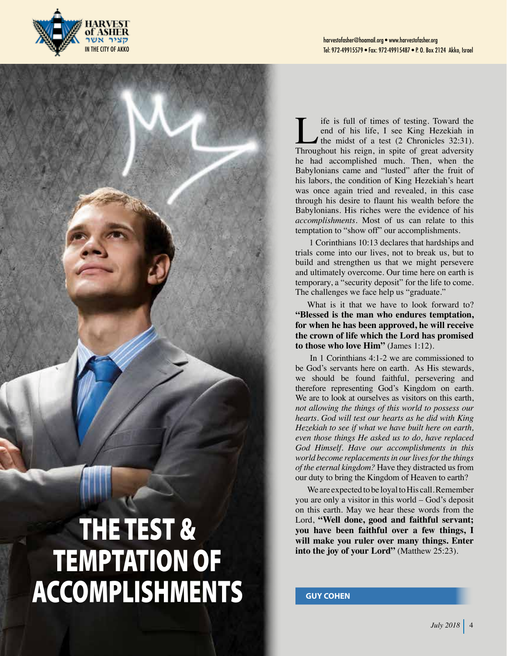



If it is full of times of testing. Toward the<br>end of his life, I see King Hezekiah in<br>the midst of a test (2 Chronicles 32:31).<br>Throughout his reign, in spite of great adversity end of his life, I see King Hezekiah in the midst of a test (2 Chronicles 32:31). Throughout his reign, in spite of great adversity he had accomplished much. Then, when the Babylonians came and "lusted" after the fruit of his labors, the condition of King Hezekiah's heart was once again tried and revealed, in this case through his desire to flaunt his wealth before the Babylonians. His riches were the evidence of his *accomplishments*. Most of us can relate to this temptation to "show off" our accomplishments.

1 Corinthians 10:13 declares that hardships and trials come into our lives, not to break us, but to build and strengthen us that we might persevere and ultimately overcome. Our time here on earth is temporary, a "security deposit" for the life to come. The challenges we face help us "graduate."

What is it that we have to look forward to? **"Blessed is the man who endures temptation, for when he has been approved, he will receive the crown of life which the Lord has promised to those who love Him"** (James 1:12).

In 1 Corinthians 4:1-2 we are commissioned to be God's servants here on earth. As His stewards, we should be found faithful, persevering and therefore representing God's Kingdom on earth. We are to look at ourselves as visitors on this earth, *not allowing the things of this world to possess our hearts. God will test our hearts as he did with King Hezekiah to see if what we have built here on earth, even those things He asked us to do, have replaced God Himself. Have our accomplishments in this world become replacements in our lives for the things of the eternal kingdom?* Have they distracted us from our duty to bring the Kingdom of Heaven to earth?

We are expected to be loyal to His call. Remember you are only a visitor in this world – God's deposit on this earth. May we hear these words from the Lord, **"Well done, good and faithful servant; you have been faithful over a few things, I will make you ruler over many things. Enter into the joy of your Lord"** (Matthew 25:23).

**GUY COHEN**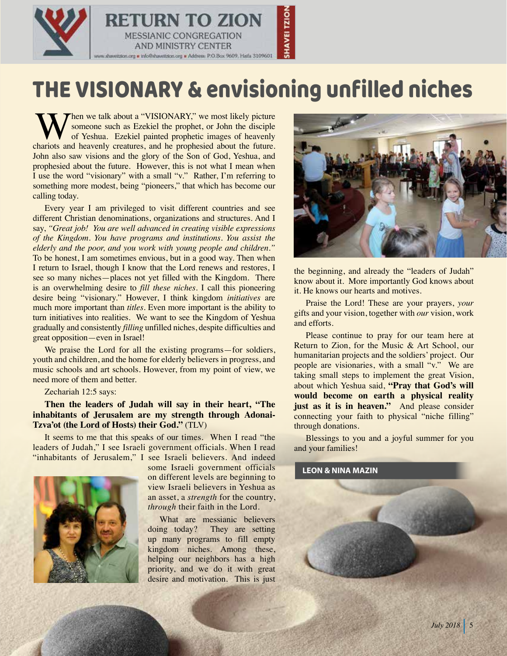

### THE VISIONARY & envisioning unfilled niches

When we talk about a "VISIONARY," we most likely picture<br>of Yeshua. Ezekiel the prophet, or John the disciple<br>thariots and heavenly creatures, and he prophesied about the future. someone such as Ezekiel the prophet, or John the disciple of Yeshua. Ezekiel painted prophetic images of heavenly chariots and heavenly creatures, and he prophesied about the future. John also saw visions and the glory of the Son of God, Yeshua, and prophesied about the future. However, this is not what I mean when I use the word "visionary" with a small "v." Rather, I'm referring to something more modest, being "pioneers," that which has become our calling today.

Every year I am privileged to visit different countries and see different Christian denominations, organizations and structures. And I say, *"Great job! You are well advanced in creating visible expressions of the Kingdom. You have programs and institutions. You assist the elderly and the poor, and you work with young people and children."* To be honest, I am sometimes envious, but in a good way. Then when I return to Israel, though I know that the Lord renews and restores, I see so many niches—places not yet filled with the Kingdom. There is an overwhelming desire to *fill these niches*. I call this pioneering desire being "visionary." However, I think kingdom *initiatives* are much more important than *titles*. Even more important is the ability to turn initiatives into realities. We want to see the Kingdom of Yeshua gradually and consistently *filling* unfilled niches, despite difficulties and great opposition—even in Israel!

We praise the Lord for all the existing programs—for soldiers, youth and children, and the home for elderly believers in progress, and music schools and art schools. However, from my point of view, we need more of them and better.

Zechariah 12:5 says:

#### **Then the leaders of Judah will say in their heart, "The inhabitants of Jerusalem are my strength through Adonai-Tzva'ot (the Lord of Hosts) their God."** (TLV)

It seems to me that this speaks of our times. When I read "the leaders of Judah," I see Israeli government officials. When I read "inhabitants of Jerusalem," I see Israeli believers. And indeed



some Israeli government officials on different levels are beginning to view Israeli believers in Yeshua as an asset, a *strength* for the country, *through* their faith in the Lord.

What are messianic believers doing today? They are setting up many programs to fill empty kingdom niches. Among these, helping our neighbors has a high priority, and we do it with great desire and motivation. This is just



the beginning, and already the "leaders of Judah" know about it. More importantly God knows about it. He knows our hearts and motives.

Praise the Lord! These are your prayers, *your* gifts and your vision, together with *our* vision, work and efforts.

Please continue to pray for our team here at Return to Zion, for the Music & Art School, our humanitarian projects and the soldiers' project. Our people are visionaries, with a small "v." We are taking small steps to implement the great Vision, about which Yeshua said, **"Pray that God's will would become on earth a physical reality just as it is in heaven."** And please consider connecting your faith to physical "niche filling" through donations.

Blessings to you and a joyful summer for you and your families!

#### **LEON & NINA MAZIN**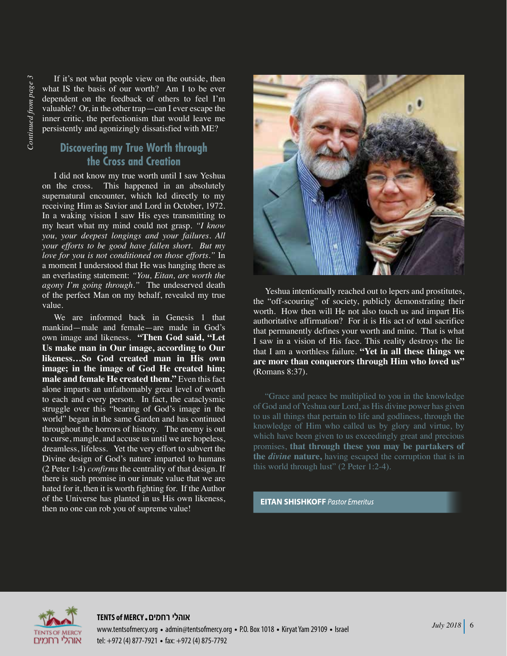If it's not what people view on the outside, then what IS the basis of our worth? Am I to be ever dependent on the feedback of others to feel I'm valuable? Or, in the other trap—can I ever escape the inner critic, the perfectionism that would leave me persistently and agonizingly dissatisfied with ME?

#### **Discovering my True Worth through the Cross and Creation**

I did not know my true worth until I saw Yeshua on the cross. This happened in an absolutely supernatural encounter, which led directly to my receiving Him as Savior and Lord in October, 1972. In a waking vision I saw His eyes transmitting to my heart what my mind could not grasp. *"I know you, your deepest longings and your failures. All your efforts to be good have fallen short. But my love for you is not conditioned on those efforts."* In a moment I understood that He was hanging there as an everlasting statement: *"You, Eitan, are worth the agony I'm going through."* The undeserved death of the perfect Man on my behalf, revealed my true value.

We are informed back in Genesis 1 that mankind—male and female—are made in God's own image and likeness. **"Then God said, "Let Us make man in Our image, according to Our likeness…So God created man in His own image; in the image of God He created him; male and female He created them."** Even this fact alone imparts an unfathomably great level of worth to each and every person. In fact, the cataclysmic struggle over this "bearing of God's image in the world" began in the same Garden and has continued throughout the horrors of history. The enemy is out to curse, mangle, and accuse us until we are hopeless, dreamless, lifeless. Yet the very effort to subvert the Divine design of God's nature imparted to humans (2 Peter 1:4) *confirms* the centrality of that design. If there is such promise in our innate value that we are hated for it, then it is worth fighting for. If the Author of the Universe has planted in us His own likeness, then no one can rob you of supreme value!



Yeshua intentionally reached out to lepers and prostitutes, the "off-scouring" of society, publicly demonstrating their worth. How then will He not also touch us and impart His authoritative affirmation? For it is His act of total sacrifice that permanently defines your worth and mine. That is what I saw in a vision of His face. This reality destroys the lie that I am a worthless failure. **"Yet in all these things we are more than conquerors through Him who loved us"** (Romans 8:37).

"Grace and peace be multiplied to you in the knowledge of God and of Yeshua our Lord, as His divine power has given to us all things that pertain to life and godliness, through the knowledge of Him who called us by glory and virtue, by which have been given to us exceedingly great and precious promises, **that through these you may be partakers of the** *divine* **nature,** having escaped the corruption that is in this world through lust" (2 Peter 1:2-4).

**EITAN SHISHKOFF Pastor Emeritus** 



**TENTS of MERCY רחמים אוהלי** www.tentsofmercy.org • admin@tentsofmercy.org • P.O. Box 1018 • Kiryat Yam 29109 • Israel tel: +972 (4) 877-7921 • fax: +972 (4) 875-7792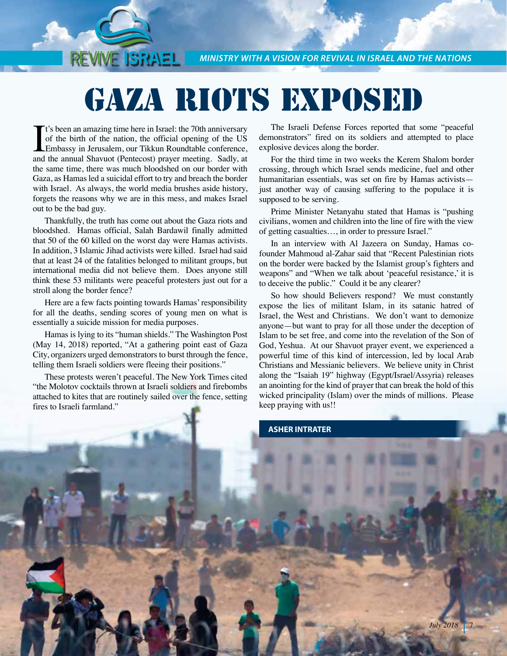*MINISTRY WITH A VISION FOR REVIVAL IN ISRAEL AND THE NATIONS*

## GAZA RIOTS EXPOSED

It's been an amazing time here in Israel: the 70th anniversary<br>of the birth of the nation, the official opening of the US<br>Embassy in Jerusalem, our Tikkun Roundtable conference,<br>and the annual Shavuot (Pentecost) prayer me t's been an amazing time here in Israel: the 70th anniversary of the birth of the nation, the official opening of the US Embassy in Jerusalem, our Tikkun Roundtable conference, the same time, there was much bloodshed on our border with Gaza, as Hamas led a suicidal effort to try and breach the border with Israel. As always, the world media brushes aside history, forgets the reasons why we are in this mess, and makes Israel out to be the bad guy.

REVIVE ISRAEL I

Thankfully, the truth has come out about the Gaza riots and bloodshed. Hamas official, Salah Bardawil finally admitted that 50 of the 60 killed on the worst day were Hamas activists. In addition, 3 Islamic Jihad activists were killed. Israel had said that at least 24 of the fatalities belonged to militant groups, but international media did not believe them. Does anyone still think these 53 militants were peaceful protesters just out for a stroll along the border fence?

Here are a few facts pointing towards Hamas' responsibility for all the deaths, sending scores of young men on what is essentially a suicide mission for media purposes.

Hamas is lying to its "human shields." The Washington Post (May 14, 2018) reported, "At a gathering point east of Gaza City, organizers urged demonstrators to burst through the fence, telling them Israeli soldiers were fleeing their positions."

These protests weren't peaceful. The New York Times cited "the Molotov cocktails thrown at Israeli soldiers and firebombs attached to kites that are routinely sailed over the fence, setting fires to Israeli farmland."

The Israeli Defense Forces reported that some "peaceful demonstrators" fired on its soldiers and attempted to place explosive devices along the border.

For the third time in two weeks the Kerem Shalom border crossing, through which Israel sends medicine, fuel and other humanitarian essentials, was set on fire by Hamas activists just another way of causing suffering to the populace it is supposed to be serving.

Prime Minister Netanyahu stated that Hamas is "pushing civilians, women and children into the line of fire with the view of getting casualties…, in order to pressure Israel."

In an interview with Al Jazeera on Sunday, Hamas cofounder Mahmoud al-Zahar said that "Recent Palestinian riots on the border were backed by the Islamist group's fighters and weapons" and "When we talk about 'peaceful resistance,' it is to deceive the public." Could it be any clearer?

So how should Believers respond? We must constantly expose the lies of militant Islam, in its satanic hatred of Israel, the West and Christians. We don't want to demonize anyone—but want to pray for all those under the deception of Islam to be set free, and come into the revelation of the Son of God, Yeshua. At our Shavuot prayer event, we experienced a powerful time of this kind of intercession, led by local Arab Christians and Messianic believers. We believe unity in Christ along the "Isaiah 19" highway (Egypt/Israel/Assyria) releases an anointing for the kind of prayer that can break the hold of this wicked principality (Islam) over the minds of millions. Please keep praying with us!!

**ASHER INTRATER**